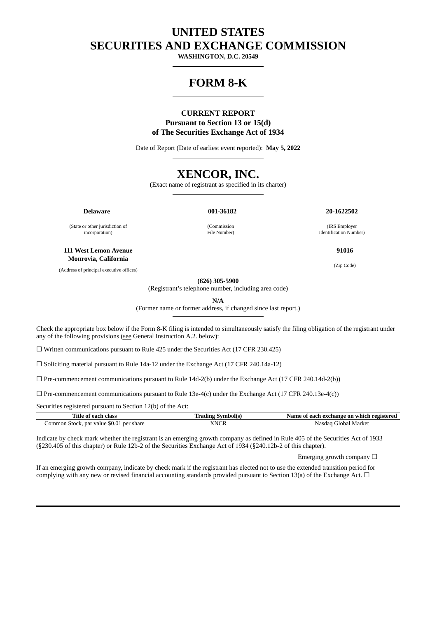# **UNITED STATES SECURITIES AND EXCHANGE COMMISSION**

**WASHINGTON, D.C. 20549**

# **FORM 8-K**

# **CURRENT REPORT Pursuant to Section 13 or 15(d) of The Securities Exchange Act of 1934**

Date of Report (Date of earliest event reported): **May 5, 2022**

# **XENCOR, INC.**

(Exact name of registrant as specified in its charter)

(Commission File Number)

**Delaware 001-36182 20-1622502**

(State or other jurisdiction of incorporation)

**111 West Lemon Avenue Monrovia, California**

(Address of principal executive offices)

**(626) 305-5900**

(Registrant's telephone number, including area code)

**N/A**

(Former name or former address, if changed since last report.)

Check the appropriate box below if the Form 8-K filing is intended to simultaneously satisfy the filing obligation of the registrant under any of the following provisions (see General Instruction A.2. below):

☐ Written communications pursuant to Rule 425 under the Securities Act (17 CFR 230.425)

☐ Soliciting material pursuant to Rule 14a-12 under the Exchange Act (17 CFR 240.14a-12)

 $\square$  Pre-commencement communications pursuant to Rule 14d-2(b) under the Exchange Act (17 CFR 240.14d-2(b))

 $\Box$  Pre-commencement communications pursuant to Rule 13e-4(c) under the Exchange Act (17 CFR 240.13e-4(c))

Securities registered pursuant to Section 12(b) of the Act:

| Title of each class                      | <b>Trading Symbol(s)</b> | Name of each exchange on which registered |
|------------------------------------------|--------------------------|-------------------------------------------|
| Common Stock, par value \$0.01 per share | XNCR                     | Nasdaq Global Market                      |

Indicate by check mark whether the registrant is an emerging growth company as defined in Rule 405 of the Securities Act of 1933 (§230.405 of this chapter) or Rule 12b-2 of the Securities Exchange Act of 1934 (§240.12b-2 of this chapter).

Emerging growth company  $\Box$ 

If an emerging growth company, indicate by check mark if the registrant has elected not to use the extended transition period for complying with any new or revised financial accounting standards provided pursuant to Section 13(a) of the Exchange Act.  $\Box$ 

(IRS Employer Identification Number)

> **91016** (Zip Code)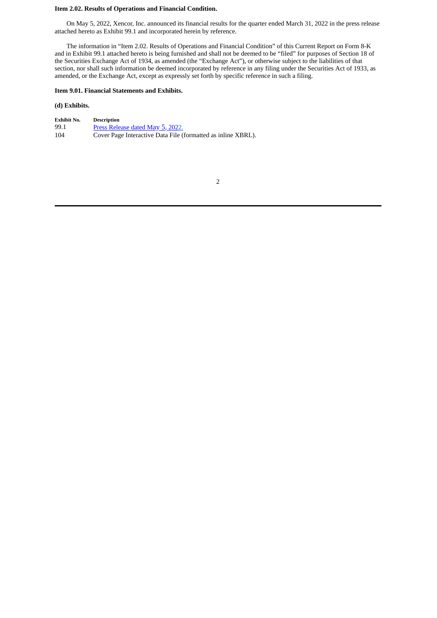#### **Item 2.02. Results of Operations and Financial Condition.**

On May 5, 2022, Xencor, Inc. announced its financial results for the quarter ended March 31, 2022 in the press release attached hereto as Exhibit 99.1 and incorporated herein by reference.

The information in "Item 2.02. Results of Operations and Financial Condition" of this Current Report on Form 8-K and in Exhibit 99.1 attached hereto is being furnished and shall not be deemed to be "filed" for purposes of Section 18 of the Securities Exchange Act of 1934, as amended (the "Exchange Act"), or otherwise subject to the liabilities of that section, nor shall such information be deemed incorporated by reference in any filing under the Securities Act of 1933, as amended, or the Exchange Act, except as expressly set forth by specific reference in such a filing.

#### **Item 9.01. Financial Statements and Exhibits.**

#### **(d) Exhibits.**

| <b>Exhibit No.</b> | <b>Description</b>                                           |
|--------------------|--------------------------------------------------------------|
| 99.1               | <u>Press Release dated May 5, 2022.</u>                      |
| 104                | Cover Page Interactive Data File (formatted as inline XBRL). |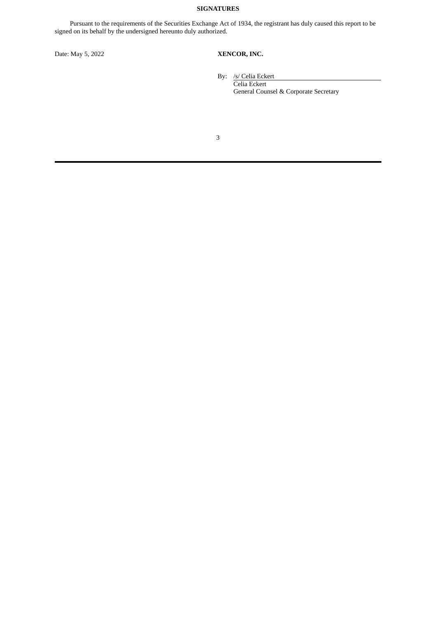# **SIGNATURES**

Pursuant to the requirements of the Securities Exchange Act of 1934, the registrant has duly caused this report to be signed on its behalf by the undersigned hereunto duly authorized.

Date: May 5, 2022 **XENCOR, INC.**

By: /s/ Celia Eckert Celia Eckert General Counsel & Corporate Secretary

3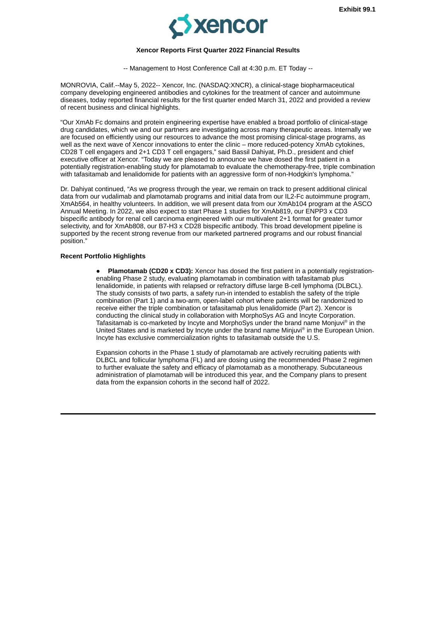

#### **Xencor Reports First Quarter 2022 Financial Results**

-- Management to Host Conference Call at 4:30 p.m. ET Today --

<span id="page-3-0"></span>MONROVIA, Calif.--May 5, 2022-- Xencor, Inc. (NASDAQ:XNCR), a clinical-stage biopharmaceutical company developing engineered antibodies and cytokines for the treatment of cancer and autoimmune diseases, today reported financial results for the first quarter ended March 31, 2022 and provided a review of recent business and clinical highlights.

"Our XmAb Fc domains and protein engineering expertise have enabled a broad portfolio of clinical-stage drug candidates, which we and our partners are investigating across many therapeutic areas. Internally we are focused on efficiently using our resources to advance the most promising clinical-stage programs, as well as the next wave of Xencor innovations to enter the clinic – more reduced-potency XmAb cytokines, CD28 T cell engagers and 2+1 CD3 T cell engagers," said Bassil Dahiyat, Ph.D., president and chief executive officer at Xencor. "Today we are pleased to announce we have dosed the first patient in a potentially registration-enabling study for plamotamab to evaluate the chemotherapy-free, triple combination with tafasitamab and lenalidomide for patients with an aggressive form of non-Hodgkin's lymphoma."

Dr. Dahiyat continued, "As we progress through the year, we remain on track to present additional clinical data from our vudalimab and plamotamab programs and initial data from our IL2-Fc autoimmune program, XmAb564, in healthy volunteers. In addition, we will present data from our XmAb104 program at the ASCO Annual Meeting. In 2022, we also expect to start Phase 1 studies for XmAb819, our ENPP3 x CD3 bispecific antibody for renal cell carcinoma engineered with our multivalent 2+1 format for greater tumor selectivity, and for XmAb808, our B7-H3 x CD28 bispecific antibody. This broad development pipeline is supported by the recent strong revenue from our marketed partnered programs and our robust financial position."

### **Recent Portfolio Highlights**

● **Plamotamab (CD20 x CD3):** Xencor has dosed the first patient in a potentially registrationenabling Phase 2 study, evaluating plamotamab in combination with tafasitamab plus lenalidomide, in patients with relapsed or refractory diffuse large B-cell lymphoma (DLBCL). The study consists of two parts, a safety run-in intended to establish the safety of the triple combination (Part 1) and a two-arm, open-label cohort where patients will be randomized to receive either the triple combination or tafasitamab plus lenalidomide (Part 2). Xencor is conducting the clinical study in collaboration with MorphoSys AG and Incyte Corporation. Tafasitamab is co-marketed by Incyte and MorphoSys under the brand name Monjuvi® in the United States and is marketed by Incyte under the brand name Minjuvi® in the European Union. Incyte has exclusive commercialization rights to tafasitamab outside the U.S.

Expansion cohorts in the Phase 1 study of plamotamab are actively recruiting patients with DLBCL and follicular lymphoma (FL) and are dosing using the recommended Phase 2 regimen to further evaluate the safety and efficacy of plamotamab as a monotherapy. Subcutaneous administration of plamotamab will be introduced this year, and the Company plans to present data from the expansion cohorts in the second half of 2022.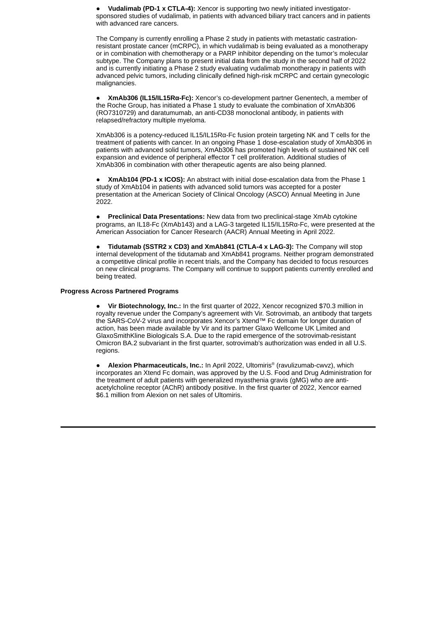**Vudalimab (PD-1 x CTLA-4):** Xencor is supporting two newly initiated investigatorsponsored studies of vudalimab, in patients with advanced biliary tract cancers and in patients with advanced rare cancers.

The Company is currently enrolling a Phase 2 study in patients with metastatic castrationresistant prostate cancer (mCRPC), in which vudalimab is being evaluated as a monotherapy or in combination with chemotherapy or a PARP inhibitor depending on the tumor's molecular subtype. The Company plans to present initial data from the study in the second half of 2022 and is currently initiating a Phase 2 study evaluating vudalimab monotherapy in patients with advanced pelvic tumors, including clinically defined high-risk mCRPC and certain gynecologic malignancies.

● **XmAb306 (IL15/IL15Rα-Fc):** Xencor's co-development partner Genentech, a member of the Roche Group, has initiated a Phase 1 study to evaluate the combination of XmAb306 (RO7310729) and daratumumab, an anti-CD38 monoclonal antibody, in patients with relapsed/refractory multiple myeloma.

XmAb306 is a potency-reduced IL15/IL15Rα-Fc fusion protein targeting NK and T cells for the treatment of patients with cancer. In an ongoing Phase 1 dose-escalation study of XmAb306 in patients with advanced solid tumors, XmAb306 has promoted high levels of sustained NK cell expansion and evidence of peripheral effector T cell proliferation. Additional studies of XmAb306 in combination with other therapeutic agents are also being planned.

● **XmAb104 (PD-1 x ICOS):** An abstract with initial dose-escalation data from the Phase 1 study of XmAb104 in patients with advanced solid tumors was accepted for a poster presentation at the American Society of Clinical Oncology (ASCO) Annual Meeting in June 2022.

● **Preclinical Data Presentations:** New data from two preclinical-stage XmAb cytokine programs, an IL18-Fc (XmAb143) and a LAG-3 targeted IL15/IL15Rα-Fc, were presented at the American Association for Cancer Research (AACR) Annual Meeting in April 2022.

● **Tidutamab (SSTR2 x CD3) and XmAb841 (CTLA-4 x LAG-3):** The Company will stop internal development of the tidutamab and XmAb841 programs. Neither program demonstrated a competitive clinical profile in recent trials, and the Company has decided to focus resources on new clinical programs. The Company will continue to support patients currently enrolled and being treated.

#### **Progress Across Partnered Programs**

● **Vir Biotechnology, Inc.:** In the first quarter of 2022, Xencor recognized \$70.3 million in royalty revenue under the Company's agreement with Vir. Sotrovimab, an antibody that targets the SARS-CoV-2 virus and incorporates Xencor's Xtend™ Fc domain for longer duration of action, has been made available by Vir and its partner Glaxo Wellcome UK Limited and GlaxoSmithKline Biologicals S.A. Due to the rapid emergence of the sotrovimab-resistant Omicron BA.2 subvariant in the first quarter, sotrovimab's authorization was ended in all U.S. regions.

● **Alexion Pharmaceuticals, Inc.:** In April 2022, Ultomiris ® (ravulizumab-cwvz), which incorporates an Xtend Fc domain, was approved by the U.S. Food and Drug Administration for the treatment of adult patients with generalized myasthenia gravis (gMG) who are antiacetylcholine receptor (AChR) antibody positive. In the first quarter of 2022, Xencor earned \$6.1 million from Alexion on net sales of Ultomiris.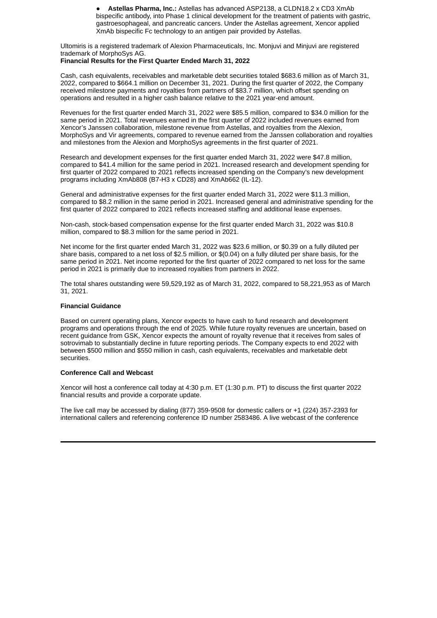● **Astellas Pharma, Inc.:** Astellas has advanced ASP2138, a CLDN18.2 x CD3 XmAb bispecific antibody, into Phase 1 clinical development for the treatment of patients with gastric, gastroesophageal, and pancreatic cancers. Under the Astellas agreement, Xencor applied XmAb bispecific Fc technology to an antigen pair provided by Astellas.

Ultomiris is a registered trademark of Alexion Pharmaceuticals, Inc. Monjuvi and Minjuvi are registered trademark of MorphoSys AG.

# **Financial Results for the First Quarter Ended March 31, 2022**

Cash, cash equivalents, receivables and marketable debt securities totaled \$683.6 million as of March 31, 2022, compared to \$664.1 million on December 31, 2021. During the first quarter of 2022, the Company received milestone payments and royalties from partners of \$83.7 million, which offset spending on operations and resulted in a higher cash balance relative to the 2021 year-end amount.

Revenues for the first quarter ended March 31, 2022 were \$85.5 million, compared to \$34.0 million for the same period in 2021. Total revenues earned in the first quarter of 2022 included revenues earned from Xencor's Janssen collaboration, milestone revenue from Astellas, and royalties from the Alexion, MorphoSys and Vir agreements, compared to revenue earned from the Janssen collaboration and royalties and milestones from the Alexion and MorphoSys agreements in the first quarter of 2021.

Research and development expenses for the first quarter ended March 31, 2022 were \$47.8 million, compared to \$41.4 million for the same period in 2021. Increased research and development spending for first quarter of 2022 compared to 2021 reflects increased spending on the Company's new development programs including XmAb808 (B7-H3 x CD28) and XmAb662 (IL-12).

General and administrative expenses for the first quarter ended March 31, 2022 were \$11.3 million, compared to \$8.2 million in the same period in 2021. Increased general and administrative spending for the first quarter of 2022 compared to 2021 reflects increased staffing and additional lease expenses.

Non-cash, stock-based compensation expense for the first quarter ended March 31, 2022 was \$10.8 million, compared to \$8.3 million for the same period in 2021.

Net income for the first quarter ended March 31, 2022 was \$23.6 million, or \$0.39 on a fully diluted per share basis, compared to a net loss of \$2.5 million, or \$(0.04) on a fully diluted per share basis, for the same period in 2021. Net income reported for the first quarter of 2022 compared to net loss for the same period in 2021 is primarily due to increased royalties from partners in 2022.

The total shares outstanding were 59,529,192 as of March 31, 2022, compared to 58,221,953 as of March 31, 2021.

### **Financial Guidance**

Based on current operating plans, Xencor expects to have cash to fund research and development programs and operations through the end of 2025. While future royalty revenues are uncertain, based on recent guidance from GSK, Xencor expects the amount of royalty revenue that it receives from sales of sotrovimab to substantially decline in future reporting periods. The Company expects to end 2022 with between \$500 million and \$550 million in cash, cash equivalents, receivables and marketable debt securities.

#### **Conference Call and Webcast**

Xencor will host a conference call today at 4:30 p.m. ET (1:30 p.m. PT) to discuss the first quarter 2022 financial results and provide a corporate update.

The live call may be accessed by dialing (877) 359-9508 for domestic callers or +1 (224) 357-2393 for international callers and referencing conference ID number 2583486. A live webcast of the conference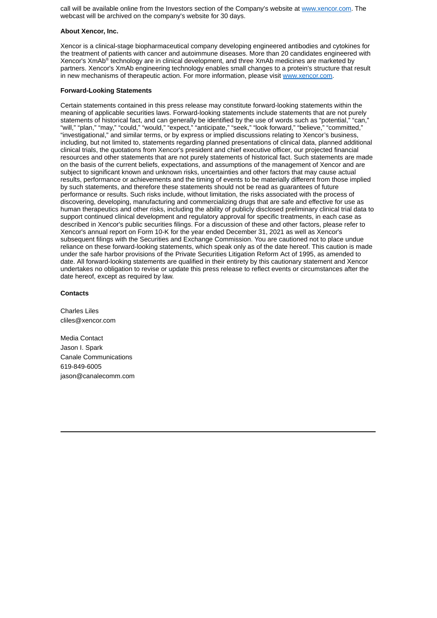call will be available online from the Investors section of the Company's website at www.xencor.com. The webcast will be archived on the company's website for 30 days.

#### **About Xencor, Inc.**

Xencor is a clinical-stage biopharmaceutical company developing engineered antibodies and cytokines for the treatment of patients with cancer and autoimmune diseases. More than 20 candidates engineered with Xencor's XmAb ® technology are in clinical development, and three XmAb medicines are marketed by partners. Xencor's XmAb engineering technology enables small changes to a protein's structure that result in new mechanisms of therapeutic action. For more information, please visit www.xencor.com.

#### **Forward-Looking Statements**

Certain statements contained in this press release may constitute forward-looking statements within the meaning of applicable securities laws. Forward-looking statements include statements that are not purely statements of historical fact, and can generally be identified by the use of words such as "potential," "can," "will," "plan," "may," "could," "would," "expect," "anticipate," "seek," "look forward," "believe," "committed," "investigational," and similar terms, or by express or implied discussions relating to Xencor's business, including, but not limited to, statements regarding planned presentations of clinical data, planned additional clinical trials, the quotations from Xencor's president and chief executive officer, our projected financial resources and other statements that are not purely statements of historical fact. Such statements are made on the basis of the current beliefs, expectations, and assumptions of the management of Xencor and are subject to significant known and unknown risks, uncertainties and other factors that may cause actual results, performance or achievements and the timing of events to be materially different from those implied by such statements, and therefore these statements should not be read as guarantees of future performance or results. Such risks include, without limitation, the risks associated with the process of discovering, developing, manufacturing and commercializing drugs that are safe and effective for use as human therapeutics and other risks, including the ability of publicly disclosed preliminary clinical trial data to support continued clinical development and regulatory approval for specific treatments, in each case as described in Xencor's public securities filings. For a discussion of these and other factors, please refer to Xencor's annual report on Form 10-K for the year ended December 31, 2021 as well as Xencor's subsequent filings with the Securities and Exchange Commission. You are cautioned not to place undue reliance on these forward-looking statements, which speak only as of the date hereof. This caution is made under the safe harbor provisions of the Private Securities Litigation Reform Act of 1995, as amended to date. All forward-looking statements are qualified in their entirety by this cautionary statement and Xencor undertakes no obligation to revise or update this press release to reflect events or circumstances after the date hereof, except as required by law.

#### **Contacts**

Charles Liles cliles@xencor.com

Media Contact Jason I. Spark Canale Communications 619-849-6005 jason@canalecomm.com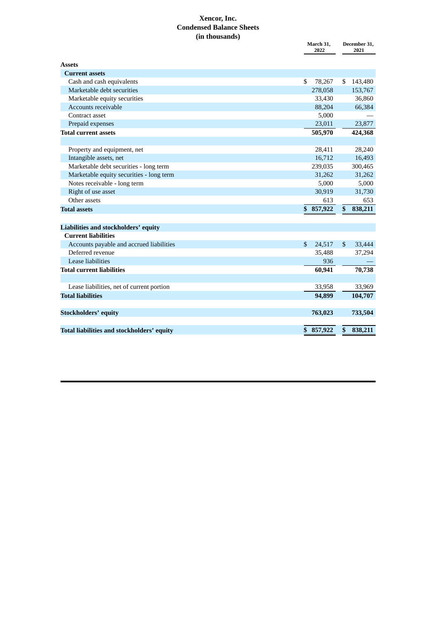# **Xencor, Inc. Condensed Balance Sheets (in thousands)**

|                                            |              | March 31,<br>2022 | December 31,<br>2021 |
|--------------------------------------------|--------------|-------------------|----------------------|
| <b>Assets</b>                              |              |                   |                      |
| <b>Current assets</b>                      |              |                   |                      |
| Cash and cash equivalents                  | \$           | 78,267            | \$<br>143,480        |
| Marketable debt securities                 |              | 278,058           | 153,767              |
| Marketable equity securities               |              | 33,430            | 36,860               |
| Accounts receivable                        |              | 88,204            | 66,384               |
| Contract asset                             |              | 5,000             |                      |
| Prepaid expenses                           |              | 23,011            | 23,877               |
| <b>Total current assets</b>                |              | 505,970           | 424,368              |
|                                            |              |                   |                      |
| Property and equipment, net                |              | 28,411            | 28,240               |
| Intangible assets, net                     |              | 16,712            | 16,493               |
| Marketable debt securities - long term     |              | 239,035           | 300,465              |
| Marketable equity securities - long term   |              | 31,262            | 31,262               |
| Notes receivable - long term               |              | 5,000             | 5,000                |
| Right of use asset                         |              | 30,919            | 31,730               |
| Other assets                               |              | 613               | 653                  |
| <b>Total assets</b>                        |              | \$857,922         | \$<br>838,211        |
|                                            |              |                   |                      |
| Liabilities and stockholders' equity       |              |                   |                      |
| <b>Current liabilities</b>                 |              |                   |                      |
| Accounts payable and accrued liabilities   | $\mathbb{S}$ | 24,517            | \$<br>33,444         |
| Deferred revenue                           |              | 35,488            | 37,294               |
| <b>Lease liabilities</b>                   |              | 936               |                      |
| <b>Total current liabilities</b>           |              | 60,941            | 70,738               |
|                                            |              |                   |                      |
| Lease liabilities, net of current portion  |              | 33,958            | 33,969               |
| <b>Total liabilities</b>                   |              | 94,899            | 104,707              |
|                                            |              |                   |                      |
| <b>Stockholders' equity</b>                |              | 763,023           | 733,504              |
|                                            |              |                   |                      |
| Total liabilities and stockholders' equity | \$           | 857,922           | \$<br>838,211        |